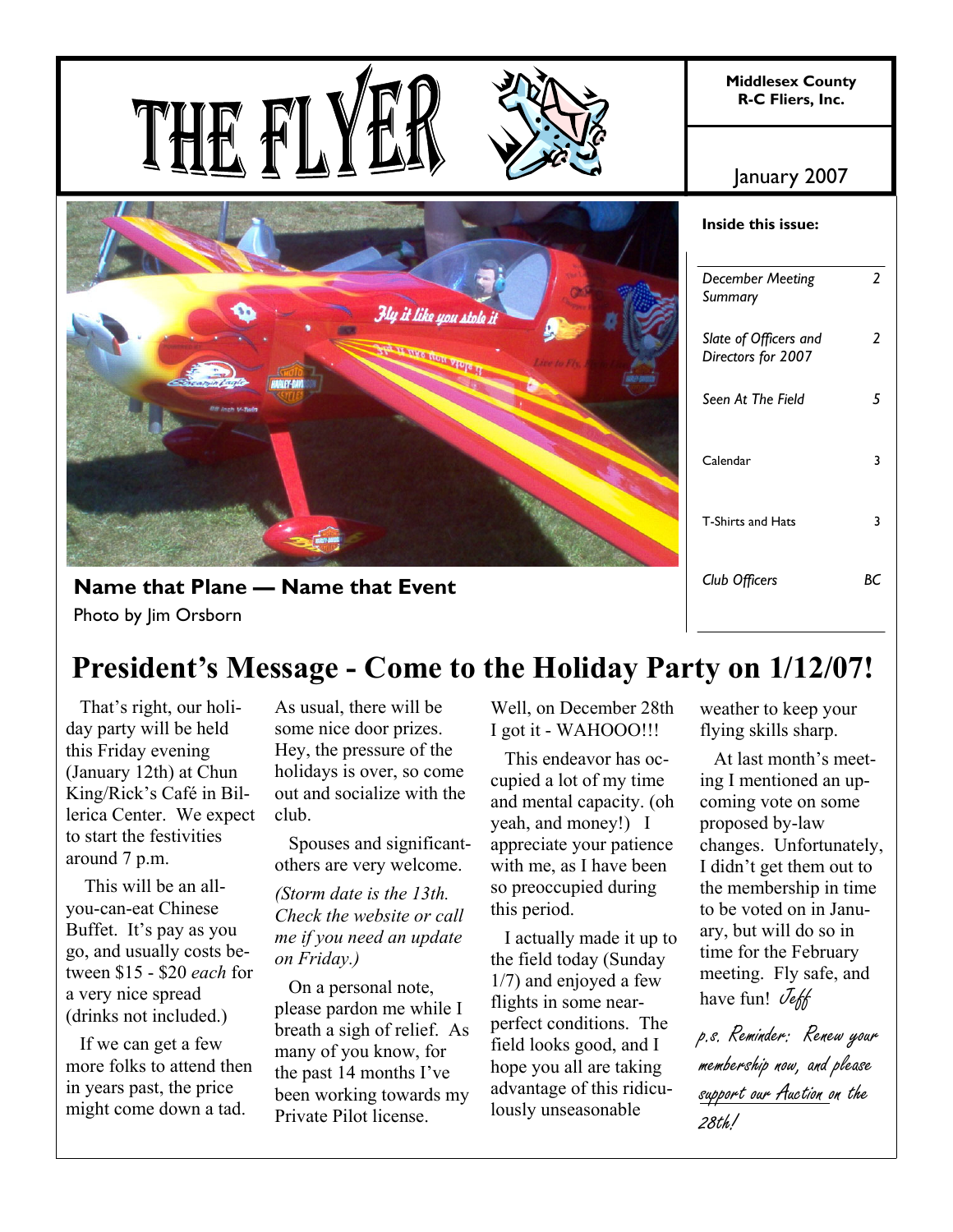

# **President's Message - Come to the Holiday Party on 1/12/07!**

 That's right, our holiday party will be held this Friday evening (January 12th) at Chun King/Rick's Café in Billerica Center. We expect to start the festivities around 7 p.m.

 This will be an allyou-can-eat Chinese Buffet. It's pay as you go, and usually costs between \$15 - \$20 *each* for a very nice spread (drinks not included.)

 If we can get a few more folks to attend then in years past, the price might come down a tad.

As usual, there will be some nice door prizes. Hey, the pressure of the holidays is over, so come out and socialize with the club.

 Spouses and significantothers are very welcome.

*(Storm date is the 13th. Check the website or call me if you need an update on Friday.)*

 On a personal note, please pardon me while I breath a sigh of relief. As many of you know, for the past 14 months I've been working towards my Private Pilot license.

Well, on December 28th I got it - WAHOOO!!!

 This endeavor has occupied a lot of my time and mental capacity. (oh yeah, and money!) I appreciate your patience with me, as I have been so preoccupied during this period.

 I actually made it up to the field today (Sunday 1/7) and enjoyed a few flights in some nearperfect conditions. The field looks good, and I hope you all are taking advantage of this ridiculously unseasonable

weather to keep your flying skills sharp.

 At last month's meeting I mentioned an upcoming vote on some proposed by-law changes. Unfortunately, I didn't get them out to the membership in time to be voted on in January, but will do so in time for the February meeting. Fly safe, and have fun!  $\mathcal{I}_{\ell}$ 

p.s. Reminder: Renew your membership now, and please support our Auction on the 28th!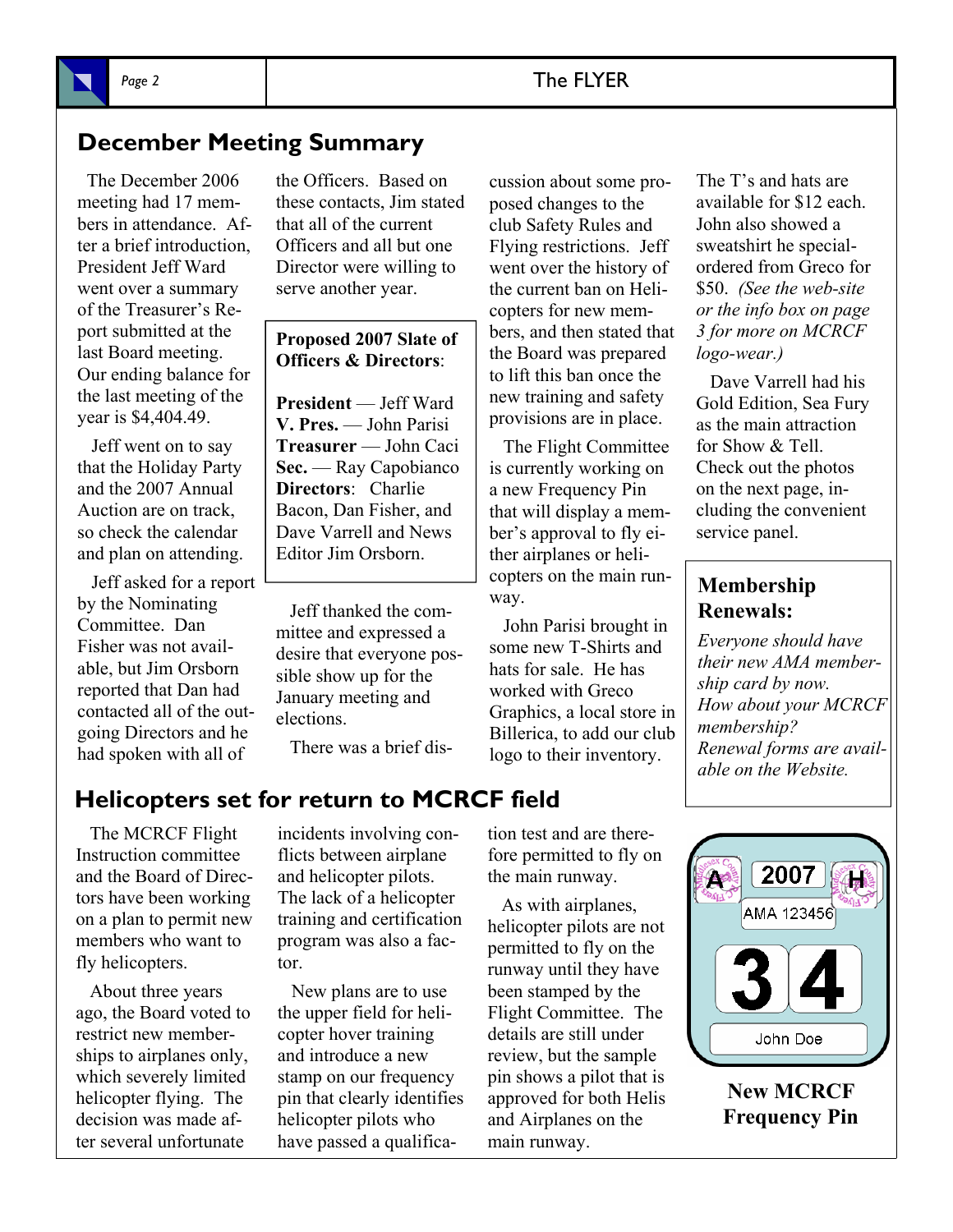## **December Meeting Summary**

 The December 2006 meeting had 17 members in attendance. After a brief introduction, President Jeff Ward went over a summary of the Treasurer's Report submitted at the last Board meeting. Our ending balance for the last meeting of the year is \$4,404.49.

 Jeff went on to say that the Holiday Party and the 2007 Annual Auction are on track, so check the calendar and plan on attending.

 Jeff asked for a report by the Nominating Committee. Dan Fisher was not available, but Jim Orsborn reported that Dan had contacted all of the outgoing Directors and he had spoken with all of

the Officers. Based on these contacts, Jim stated that all of the current Officers and all but one Director were willing to serve another year.

### **Proposed 2007 Slate of Officers & Directors**:

**President** — Jeff Ward **V. Pres.** — John Parisi **Treasurer** — John Caci **Sec.** — Ray Capobianco **Directors**: Charlie Bacon, Dan Fisher, and Dave Varrell and News Editor Jim Orsborn.

 Jeff thanked the committee and expressed a desire that everyone possible show up for the January meeting and elections.

There was a brief dis-

cussion about some proposed changes to the club Safety Rules and Flying restrictions. Jeff went over the history of the current ban on Helicopters for new members, and then stated that the Board was prepared to lift this ban once the new training and safety provisions are in place.

 The Flight Committee is currently working on a new Frequency Pin that will display a member's approval to fly either airplanes or helicopters on the main runway.

 John Parisi brought in some new T-Shirts and hats for sale. He has worked with Greco Graphics, a local store in Billerica, to add our club logo to their inventory.

The T's and hats are available for \$12 each. John also showed a sweatshirt he specialordered from Greco for \$50. *(See the web-site or the info box on page 3 for more on MCRCF logo-wear.)*

 Dave Varrell had his Gold Edition, Sea Fury as the main attraction for Show & Tell. Check out the photos on the next page, including the convenient service panel.

## **Membership Renewals:**

*Everyone should have their new AMA membership card by now. How about your MCRCF membership? Renewal forms are available on the Website.* 

## **Helicopters set for return to MCRCF field**

 The MCRCF Flight Instruction committee and the Board of Directors have been working on a plan to permit new members who want to fly helicopters.

 About three years ago, the Board voted to restrict new memberships to airplanes only, which severely limited helicopter flying. The decision was made after several unfortunate

incidents involving conflicts between airplane and helicopter pilots. The lack of a helicopter training and certification program was also a factor.

 New plans are to use the upper field for helicopter hover training and introduce a new stamp on our frequency pin that clearly identifies helicopter pilots who have passed a qualification test and are therefore permitted to fly on the main runway.

 As with airplanes, helicopter pilots are not permitted to fly on the runway until they have been stamped by the Flight Committee. The details are still under review, but the sample pin shows a pilot that is approved for both Helis and Airplanes on the main runway.



**New MCRCF Frequency Pin**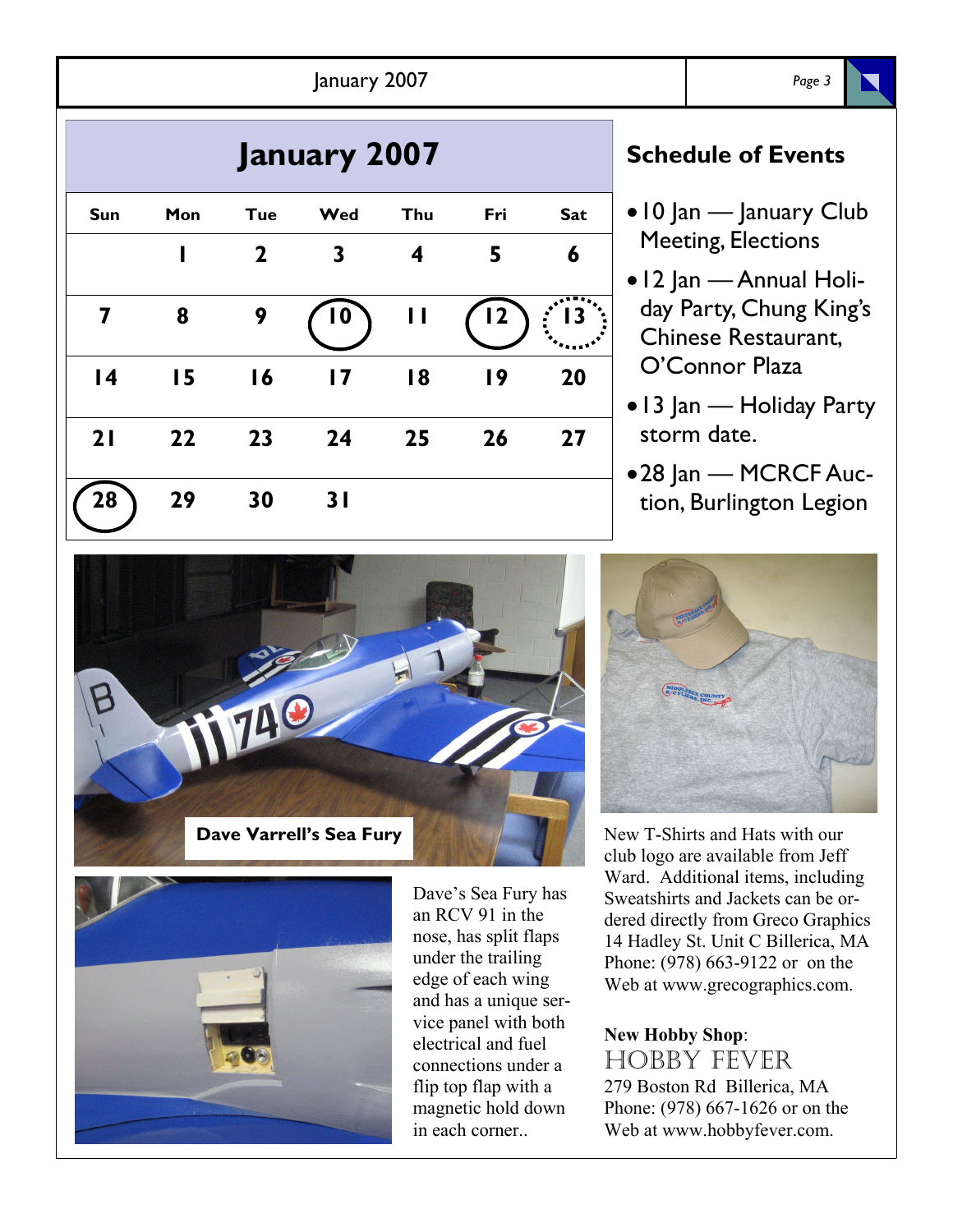| January 2007        |     |              |                         |                  |     |                  |                                 | Page 3                                                                    |  |
|---------------------|-----|--------------|-------------------------|------------------|-----|------------------|---------------------------------|---------------------------------------------------------------------------|--|
| <b>January 2007</b> |     |              |                         |                  |     |                  | <b>Schedule of Events</b>       |                                                                           |  |
| <b>Sun</b>          | Mon | <b>Tue</b>   | Wed                     | Thu              | Fri | <b>Sat</b>       | $\bullet$ 10 Jan — January Club |                                                                           |  |
|                     | ı   | $\mathbf{2}$ | $\mathbf{3}$            | $\boldsymbol{4}$ | 5   | 6                |                                 | <b>Meeting, Elections</b>                                                 |  |
| 7                   | 8   | 9            | $\overline{\mathbf{0}}$ | $\mathbf{H}$     | (2) | $\frac{1}{2}$ 13 |                                 | • 12 Jan — Annual Holi-<br>day Party, Chung King's<br>Chinese Restaurant, |  |
| $\overline{14}$     | 15  | 16           | $\overline{17}$         | 18               | 19  | 20               |                                 | O'Connor Plaza                                                            |  |
| 21                  | 22  | 23           | 24                      | 25               | 26  | 27               |                                 | • 13 Jan — Holiday Party<br>storm date.                                   |  |
| 28                  | 29  | 30           | 31                      |                  |     |                  |                                 | •28 Jan - MCRCF Auc-<br>tion, Burlington Legion                           |  |





Dave's Sea Fury has an RCV 91 in the nose, has split flaps under the trailing edge of each wing and has a unique service panel with both electrical and fuel connections under a flip top flap with a magnetic hold down in each corner..



New T-Shirts and Hats with our club logo are available from Jeff Ward. Additional items, including Sweatshirts and Jackets can be ordered directly from Greco Graphics 14 Hadley St. Unit C Billerica, MA Phone: (978) 663-9122 or on the Web at www.grecographics.com.

## **New Hobby Shop**: HOBBY FEVER 279 Boston Rd Billerica, MA

Phone: (978) 667-1626 or on the Web at www.hobbyfever.com.